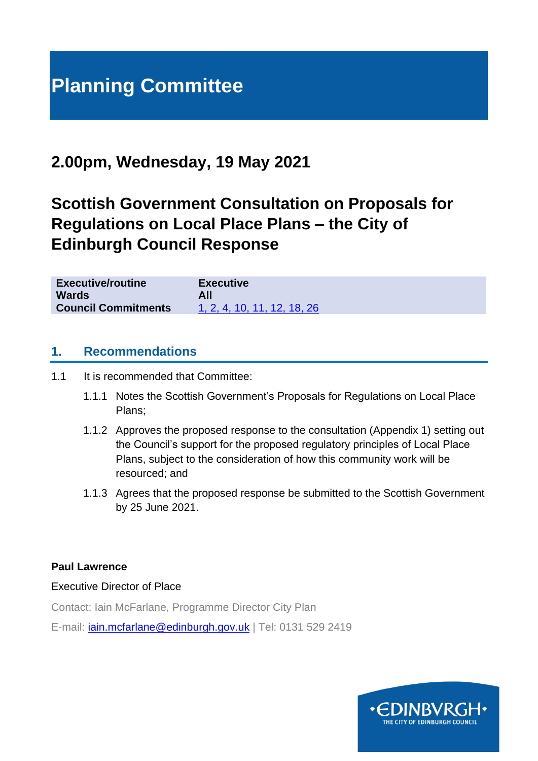# **Planning Committee**

# **2.00pm, Wednesday, 19 May 2021**

# **Scottish Government Consultation on Proposals for Regulations on Local Place Plans – the City of Edinburgh Council Response**

| <b>Executive/routine</b>   | <b>Executive</b>            |
|----------------------------|-----------------------------|
| <b>Wards</b>               | All                         |
| <b>Council Commitments</b> | 1, 2, 4, 10, 11, 12, 18, 26 |

### **1. Recommendations**

- 1.1 It is recommended that Committee:
	- 1.1.1 Notes the Scottish Government's Proposals for Regulations on Local Place Plans;
	- 1.1.2 Approves the proposed response to the consultation (Appendix 1) setting out the Council's support for the proposed regulatory principles of Local Place Plans, subject to the consideration of how this community work will be resourced; and
	- 1.1.3 Agrees that the proposed response be submitted to the Scottish Government by 25 June 2021.

#### **Paul Lawrence**

Executive Director of Place

Contact: Iain McFarlane, Programme Director City Plan

E-mail: [iain.mcfarlane@edinburgh.gov.uk](mailto:iain.mcfarlane@edinburgh.gov.uk) | Tel: 0131 529 2419

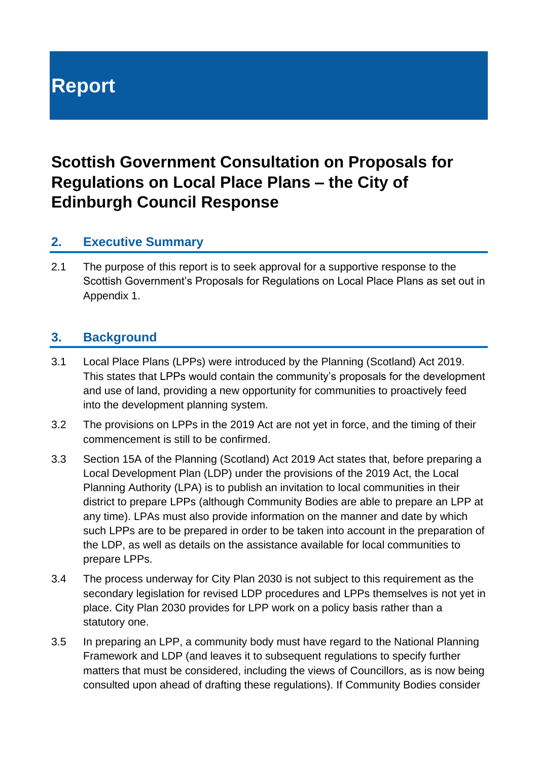# **Report**

# **Scottish Government Consultation on Proposals for Regulations on Local Place Plans – the City of Edinburgh Council Response**

## **2. Executive Summary**

2.1 The purpose of this report is to seek approval for a supportive response to the Scottish Government's Proposals for Regulations on Local Place Plans as set out in Appendix 1.

### **3. Background**

- 3.1 Local Place Plans (LPPs) were introduced by the Planning (Scotland) Act 2019. This states that LPPs would contain the community's proposals for the development and use of land, providing a new opportunity for communities to proactively feed into the development planning system.
- 3.2 The provisions on LPPs in the 2019 Act are not yet in force, and the timing of their commencement is still to be confirmed.
- 3.3 Section 15A of the Planning (Scotland) Act 2019 Act states that, before preparing a Local Development Plan (LDP) under the provisions of the 2019 Act, the Local Planning Authority (LPA) is to publish an invitation to local communities in their district to prepare LPPs (although Community Bodies are able to prepare an LPP at any time). LPAs must also provide information on the manner and date by which such LPPs are to be prepared in order to be taken into account in the preparation of the LDP, as well as details on the assistance available for local communities to prepare LPPs.
- 3.4 The process underway for City Plan 2030 is not subject to this requirement as the secondary legislation for revised LDP procedures and LPPs themselves is not yet in place. City Plan 2030 provides for LPP work on a policy basis rather than a statutory one.
- 3.5 In preparing an LPP, a community body must have regard to the National Planning Framework and LDP (and leaves it to subsequent regulations to specify further matters that must be considered, including the views of Councillors, as is now being consulted upon ahead of drafting these regulations). If Community Bodies consider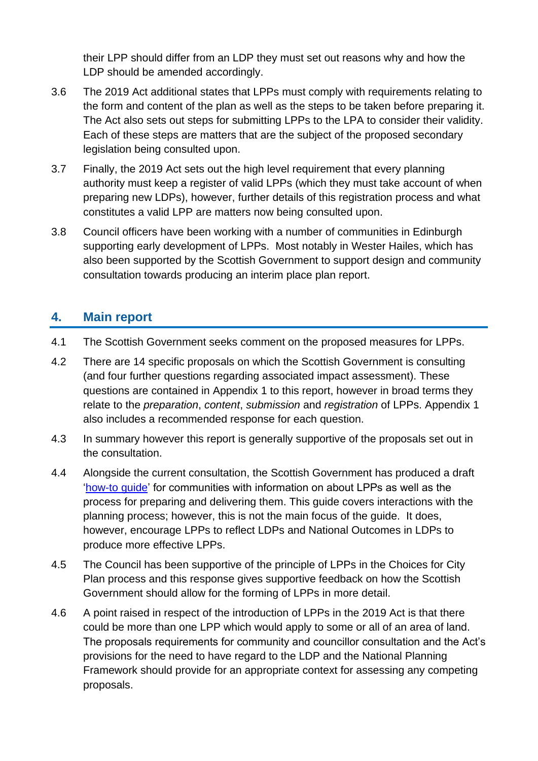their LPP should differ from an LDP they must set out reasons why and how the LDP should be amended accordingly.

- 3.6 The 2019 Act additional states that LPPs must comply with requirements relating to the form and content of the plan as well as the steps to be taken before preparing it. The Act also sets out steps for submitting LPPs to the LPA to consider their validity. Each of these steps are matters that are the subject of the proposed secondary legislation being consulted upon.
- 3.7 Finally, the 2019 Act sets out the high level requirement that every planning authority must keep a register of valid LPPs (which they must take account of when preparing new LDPs), however, further details of this registration process and what constitutes a valid LPP are matters now being consulted upon.
- 3.8 Council officers have been working with a number of communities in Edinburgh supporting early development of LPPs. Most notably in Wester Hailes, which has also been supported by the Scottish Government to support design and community consultation towards producing an interim place plan report.

## **4. Main report**

- 4.1 The Scottish Government seeks comment on the proposed measures for LPPs.
- 4.2 There are 14 specific proposals on which the Scottish Government is consulting (and four further questions regarding associated impact assessment). These questions are contained in Appendix 1 to this report, however in broad terms they relate to the *preparation*, *content*, *submission* and *registration* of LPPs. Appendix 1 also includes a recommended response for each question.
- 4.3 In summary however this report is generally supportive of the proposals set out in the consultation.
- 4.4 Alongside the current consultation, the Scottish Government has produced a draft ['how-to guide'](https://www.transformingplanning.scot/media/2236/draft-how-to-guide-pdf-format.pdf) for communities with information on about LPPs as well as the process for preparing and delivering them. This guide covers interactions with the planning process; however, this is not the main focus of the guide. It does, however, encourage LPPs to reflect LDPs and National Outcomes in LDPs to produce more effective LPPs.
- 4.5 The Council has been supportive of the principle of LPPs in the Choices for City Plan process and this response gives supportive feedback on how the Scottish Government should allow for the forming of LPPs in more detail.
- 4.6 A point raised in respect of the introduction of LPPs in the 2019 Act is that there could be more than one LPP which would apply to some or all of an area of land. The proposals requirements for community and councillor consultation and the Act's provisions for the need to have regard to the LDP and the National Planning Framework should provide for an appropriate context for assessing any competing proposals.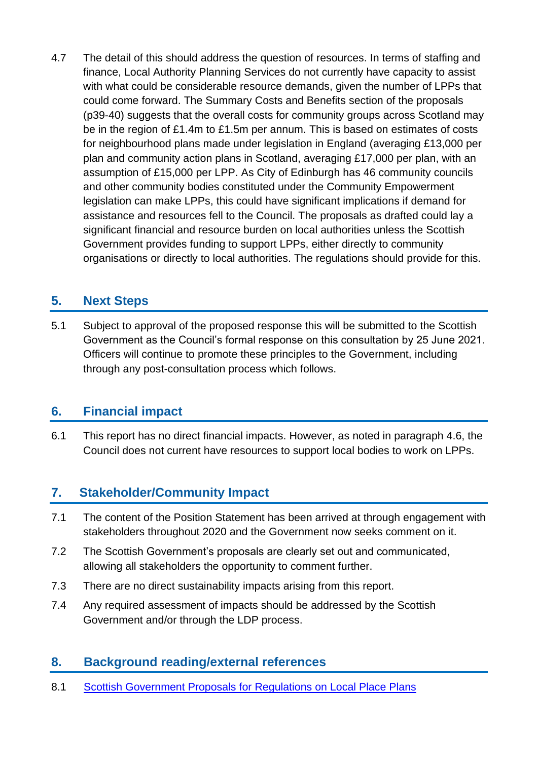4.7 The detail of this should address the question of resources. In terms of staffing and finance, Local Authority Planning Services do not currently have capacity to assist with what could be considerable resource demands, given the number of LPPs that could come forward. The Summary Costs and Benefits section of the proposals (p39-40) suggests that the overall costs for community groups across Scotland may be in the region of £1.4m to £1.5m per annum. This is based on estimates of costs for neighbourhood plans made under legislation in England (averaging £13,000 per plan and community action plans in Scotland, averaging £17,000 per plan, with an assumption of £15,000 per LPP. As City of Edinburgh has 46 community councils and other community bodies constituted under the Community Empowerment legislation can make LPPs, this could have significant implications if demand for assistance and resources fell to the Council. The proposals as drafted could lay a significant financial and resource burden on local authorities unless the Scottish Government provides funding to support LPPs, either directly to community organisations or directly to local authorities. The regulations should provide for this.

# **5. Next Steps**

5.1 Subject to approval of the proposed response this will be submitted to the Scottish Government as the Council's formal response on this consultation by 25 June 2021. Officers will continue to promote these principles to the Government, including through any post-consultation process which follows.

## **6. Financial impact**

6.1 This report has no direct financial impacts. However, as noted in paragraph 4.6, the Council does not current have resources to support local bodies to work on LPPs.

# **7. Stakeholder/Community Impact**

- 7.1 The content of the Position Statement has been arrived at through engagement with stakeholders throughout 2020 and the Government now seeks comment on it.
- 7.2 The Scottish Government's proposals are clearly set out and communicated, allowing all stakeholders the opportunity to comment further.
- 7.3 There are no direct sustainability impacts arising from this report.
- 7.4 Any required assessment of impacts should be addressed by the Scottish Government and/or through the LDP process.

# **8. Background reading/external references**

8.1 [Scottish Government Proposals for Regulations on Local Place Plans](file:///C:/Users/9982594/AppData/Local/Packages/Microsoft.MicrosoftEdge_8wekyb3d8bbwe/TempState/Downloads/proposals-regulations-local-place-plans%20(1).pdf)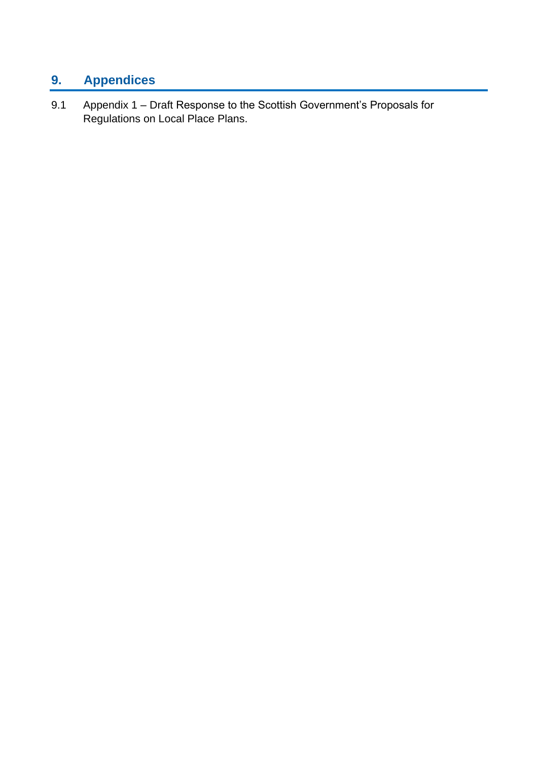# **9. Appendices**

9.1 Appendix 1 – Draft Response to the Scottish Government's Proposals for Regulations on Local Place Plans.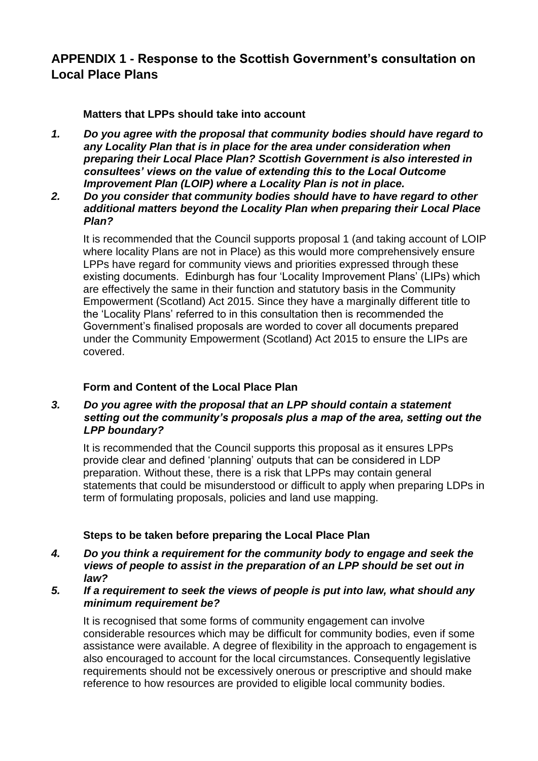## **APPENDIX 1 - Response to the Scottish Government's consultation on Local Place Plans**

#### **Matters that LPPs should take into account**

- *1. Do you agree with the proposal that community bodies should have regard to any Locality Plan that is in place for the area under consideration when preparing their Local Place Plan? Scottish Government is also interested in consultees' views on the value of extending this to the Local Outcome Improvement Plan (LOIP) where a Locality Plan is not in place.*
- *2. Do you consider that community bodies should have to have regard to other additional matters beyond the Locality Plan when preparing their Local Place Plan?*

It is recommended that the Council supports proposal 1 (and taking account of LOIP where locality Plans are not in Place) as this would more comprehensively ensure LPPs have regard for community views and priorities expressed through these existing documents. Edinburgh has four 'Locality Improvement Plans' (LIPs) which are effectively the same in their function and statutory basis in the Community Empowerment (Scotland) Act 2015. Since they have a marginally different title to the 'Locality Plans' referred to in this consultation then is recommended the Government's finalised proposals are worded to cover all documents prepared under the Community Empowerment (Scotland) Act 2015 to ensure the LIPs are covered.

#### **Form and Content of the Local Place Plan**

#### *3. Do you agree with the proposal that an LPP should contain a statement setting out the community's proposals plus a map of the area, setting out the LPP boundary?*

It is recommended that the Council supports this proposal as it ensures LPPs provide clear and defined 'planning' outputs that can be considered in LDP preparation. Without these, there is a risk that LPPs may contain general statements that could be misunderstood or difficult to apply when preparing LDPs in term of formulating proposals, policies and land use mapping.

#### **Steps to be taken before preparing the Local Place Plan**

- *4. Do you think a requirement for the community body to engage and seek the views of people to assist in the preparation of an LPP should be set out in law?*
- *5. If a requirement to seek the views of people is put into law, what should any minimum requirement be?*

It is recognised that some forms of community engagement can involve considerable resources which may be difficult for community bodies, even if some assistance were available. A degree of flexibility in the approach to engagement is also encouraged to account for the local circumstances. Consequently legislative requirements should not be excessively onerous or prescriptive and should make reference to how resources are provided to eligible local community bodies.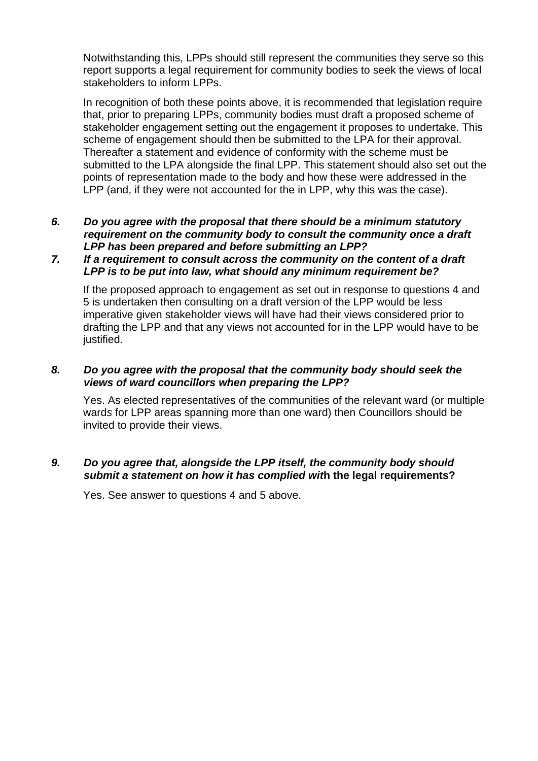Notwithstanding this, LPPs should still represent the communities they serve so this report supports a legal requirement for community bodies to seek the views of local stakeholders to inform LPPs.

In recognition of both these points above, it is recommended that legislation require that, prior to preparing LPPs, community bodies must draft a proposed scheme of stakeholder engagement setting out the engagement it proposes to undertake. This scheme of engagement should then be submitted to the LPA for their approval. Thereafter a statement and evidence of conformity with the scheme must be submitted to the LPA alongside the final LPP. This statement should also set out the points of representation made to the body and how these were addressed in the LPP (and, if they were not accounted for the in LPP, why this was the case).

#### *6. Do you agree with the proposal that there should be a minimum statutory requirement on the community body to consult the community once a draft LPP has been prepared and before submitting an LPP?*

#### *7. If a requirement to consult across the community on the content of a draft LPP is to be put into law, what should any minimum requirement be?*

If the proposed approach to engagement as set out in response to questions 4 and 5 is undertaken then consulting on a draft version of the LPP would be less imperative given stakeholder views will have had their views considered prior to drafting the LPP and that any views not accounted for in the LPP would have to be justified.

#### *8. Do you agree with the proposal that the community body should seek the views of ward councillors when preparing the LPP?*

Yes. As elected representatives of the communities of the relevant ward (or multiple ward*s* for LPP areas spanning more than one ward) then Councillors should be invited to provide their views.

#### *9. Do you agree that, alongside the LPP itself, the community body should submit a statement on how it has complied wit***h the legal requirements?**

Yes. See answer to questions 4 and 5 above.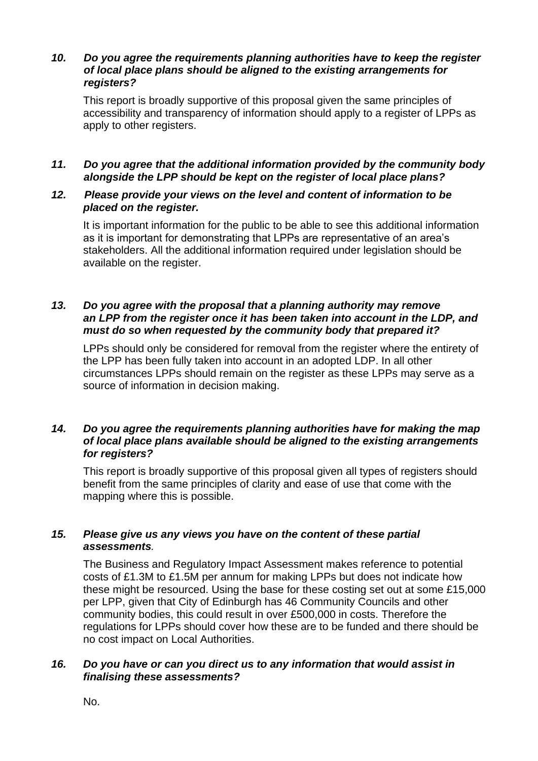#### *10. Do you agree the requirements planning authorities have to keep the register of local place plans should be aligned to the existing arrangements for registers?*

This report is broadly supportive of this proposal given the same principles of accessibility and transparency of information should apply to a register of LPPs as apply to other registers.

#### *11. Do you agree that the additional information provided by the community body alongside the LPP should be kept on the register of local place plans?*

#### *12. Please provide your views on the level and content of information to be placed on the register.*

It is important information for the public to be able to see this additional information as it is important for demonstrating that LPPs are representative of an area's stakeholders. All the additional information required under legislation should be available on the register.

#### *13. Do you agree with the proposal that a planning authority may remove an LPP from the register once it has been taken into account in the LDP, and must do so when requested by the community body that prepared it?*

LPPs should only be considered for removal from the register where the entirety of the LPP has been fully taken into account in an adopted LDP. In all other circumstances LPPs should remain on the register as these LPPs may serve as a source of information in decision making.

#### *14. Do you agree the requirements planning authorities have for making the map of local place plans available should be aligned to the existing arrangements for registers?*

This report is broadly supportive of this proposal given all types of registers should benefit from the same principles of clarity and ease of use that come with the mapping where this is possible.

#### *15. Please give us any views you have on the content of these partial assessments.*

The Business and Regulatory Impact Assessment makes reference to potential costs of £1.3M to £1.5M per annum for making LPPs but does not indicate how these might be resourced. Using the base for these costing set out at some £15,000 per LPP, given that City of Edinburgh has 46 Community Councils and other community bodies, this could result in over £500,000 in costs. Therefore the regulations for LPPs should cover how these are to be funded and there should be no cost impact on Local Authorities.

#### *16. Do you have or can you direct us to any information that would assist in finalising these assessments?*

No.